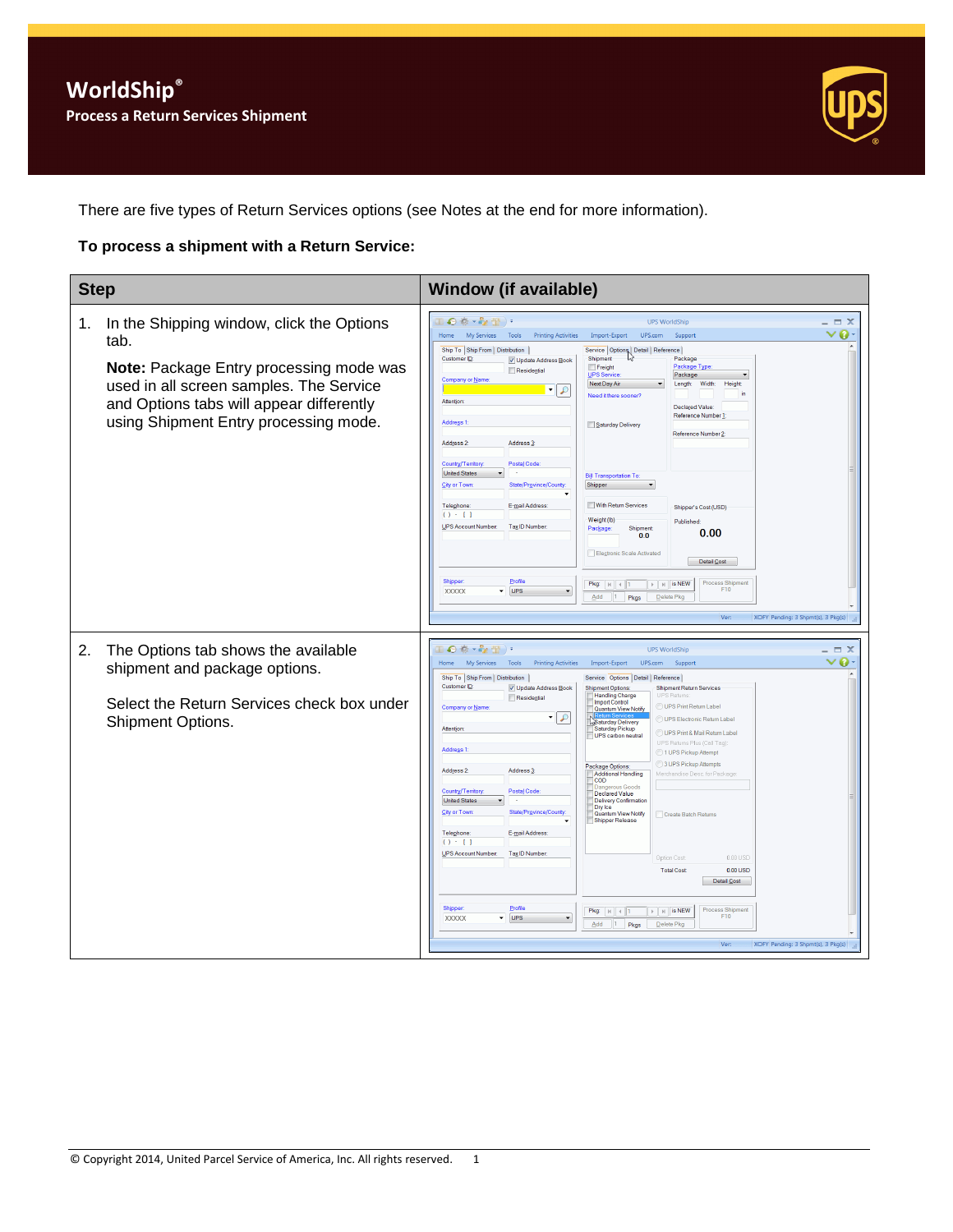

There are five types of Return Services options (see Notes at the end for more information).

#### **To process a shipment with a Return Service:**

| <b>Step</b>                                                                                                                                                                                                                        | <b>Window (if available)</b>                                                                                                                                                                                                                                                                                                                                                                                                                                                                                                                                                                                                                                                                                                                                                                                                                                                                                                                                                                                                                                                                                                                                                                                                                                                                                                                                                                                                                                                                                                                                                                                                |
|------------------------------------------------------------------------------------------------------------------------------------------------------------------------------------------------------------------------------------|-----------------------------------------------------------------------------------------------------------------------------------------------------------------------------------------------------------------------------------------------------------------------------------------------------------------------------------------------------------------------------------------------------------------------------------------------------------------------------------------------------------------------------------------------------------------------------------------------------------------------------------------------------------------------------------------------------------------------------------------------------------------------------------------------------------------------------------------------------------------------------------------------------------------------------------------------------------------------------------------------------------------------------------------------------------------------------------------------------------------------------------------------------------------------------------------------------------------------------------------------------------------------------------------------------------------------------------------------------------------------------------------------------------------------------------------------------------------------------------------------------------------------------------------------------------------------------------------------------------------------------|
| In the Shipping window, click the Options<br>1.<br>tab.<br>Note: Package Entry processing mode was<br>used in all screen samples. The Service<br>and Options tabs will appear differently<br>using Shipment Entry processing mode. | $\mathbb{L} \bigodot \psi \cdot \psi_2 \oplus \cdots$<br><b>UPS WorldShip</b><br>$\Box$ $\times$<br>$\bullet$<br>My Services<br>Tools<br><b>Printing Activities</b><br>Import-Export<br>UPS.com<br>Support<br>Home<br>Ship To Ship From Distribution<br>Service   Options   Detail   Reference  <br>Customer ID:<br>Shipment<br>Package<br>V Update Address Book<br>Package Type<br>Freight<br>Residential<br>UPS Service<br>Package<br>Company or Name:<br>Next Day Air<br>Length:<br>Width:<br>Height<br>$\overline{\phantom{a}}$<br>₽<br>Need it there sooner?<br><b>Attention</b><br>Declared Value:<br>Reference Number 1<br>Address <sub>1</sub><br>Saturday Delivery<br>Reference Number 2:<br>Address 2:<br>Address 3<br>Postal Code<br>Country/Territory:<br><b>United States</b><br><b>Bill Transportation To</b><br>State/Province/Count<br>Shipper<br>City or Town<br>With Return Services<br>E-mail Address:<br>Telephone:<br>Shipper's Cost (USD)<br>$() - []$<br>Weight (lb)<br>Published:<br><b>UPS Account Number:</b><br>Tax ID Number:<br>Shipment<br>Package<br>0.00<br>0.0<br>Electronic Scale Activated<br>Detail Cost<br>Profile<br><b>Shipper:</b><br><b>Process Shipment</b><br>$\mathbb{F}$   $\mathbb{H}$   is NEW<br>Pkg: $  $ $  $ $  $ $  $<br>UPS<br>F10<br><b>XXXXX</b><br>$\overline{\phantom{a}}$<br>$\blacktriangledown$<br>Add<br>Pkgs<br>Delete Pkg<br>$\vert$ 1<br>XOFY Pending: 3 Shpmt(s), 3 Pkg(s)<br>Ver:                                                                                                                                                                         |
| 2.<br>The Options tab shows the available<br>shipment and package options.<br>Select the Return Services check box under<br>Shipment Options.                                                                                      | $\Theta \otimes \cdot \mathcal{E}_\ell \otimes \cdot$<br><b>UPS WorldShip</b><br>$\Box$ $X$<br>o<br>My Services<br>Tools<br><b>Printing Activities</b><br>UPS.com<br>Home<br>Import-Export<br>Suppor<br>Ship To Ship From Distribution<br>Service Options Detail Reference<br>Customer ID:<br>V Update Address Book<br><b>Shipment Return Services</b><br><b>Shipment Options:</b><br>Handling Charge<br><b>UPS Beturn</b><br>Residential<br><b>Import Control</b><br>UPS Print Return Label<br>Company or Name<br>Quantum View Notify<br>9   •<br>UPS Electronic Return Labe<br>Saturday Delivery<br>Attention<br>Saturday Pickup<br>UPS Print & Mail Return Label<br>UPS carbon neutral<br>UPS Returns Plus (Call Tag)<br>Address <sub>1</sub><br>1 UPS Pickup Attempt<br>3 UPS Pickup Attempts<br>Package Options:<br>Address 2:<br>Address <sub>3</sub><br>Additional Handling<br>Merchandise Desc. for Package<br><b>COD</b><br>)ang<br>Country/Territory:<br>Postal Code<br>Declared Value<br><b>United States</b><br>Delivery Confirmation<br>Dry Ice<br>City or Town<br>State/Province/Co<br>Quantum View Notify<br>Create Batch Returns<br>Shipper Release<br>Telephone:<br>E-mail Address:<br>$() - []$<br>UPS Account Number<br>Tax ID Number:<br>0.00 USD<br>Option Cost<br><b>Total Cost</b><br>$0.00$ USD<br>Detail Cost<br>Profile<br>Shipper<br>Process Shipment<br>$\triangleright$ $\parallel$ $\uparrow$ $\parallel$ is NEW<br>Pkg: $ k $ 4 1<br>F10<br>$\blacktriangleright$ UPS<br>XXXXX<br>$\overline{\phantom{a}}$<br>11.<br>Delete Pkg<br>Add<br>Pkgs<br>Ver:<br>XOFY Pending: 3 Shpmt(s), 3 Pkg(s) |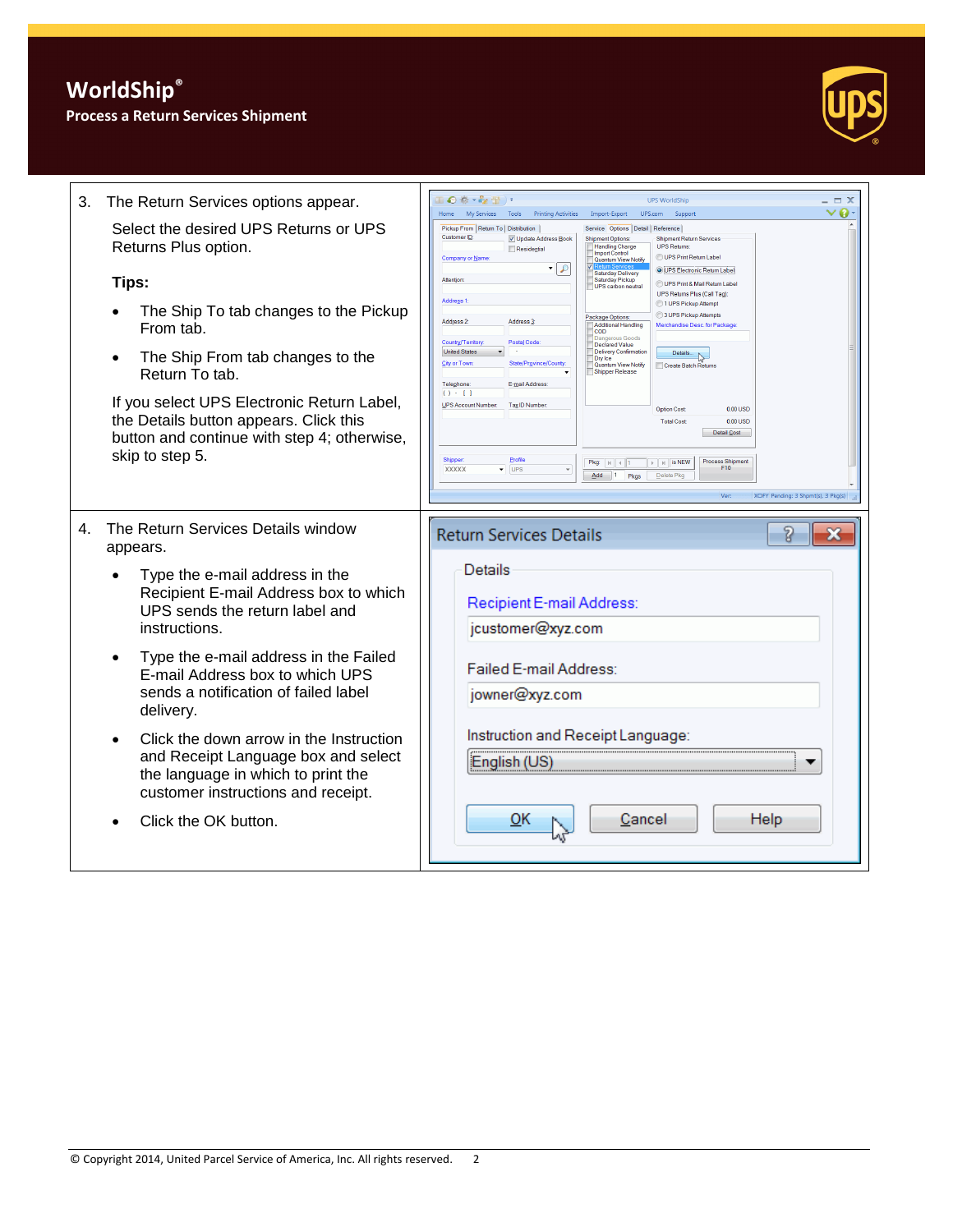# **WorldShip®**

#### **Process a Return Services Shipment**



| 3.<br>The Return Services options appear.                                                                                                                                                                                                                                                                                                                                                                                                                                                                              | $\Box$ $\odot$ $\ddot{\otimes}$ $\cdot$ $\mathcal{E}_{\mathbf{Z}}$ $\Box$ ) $\cdot$<br><b>LIPS WorldShip</b><br>My Services<br>Tools<br><b>Printing Activities</b><br>UPS.com<br><b>Home</b><br>Import-Export<br>Suppor                                                                                                                                                                                                                                                                                                                                                                                                                                                                                                                                                                                                                                                                                                                                                                                                                                                                                                                                                                                                                                                                                                                                                                                                                                   | $\Box$ $\times$<br>$\bullet$ |
|------------------------------------------------------------------------------------------------------------------------------------------------------------------------------------------------------------------------------------------------------------------------------------------------------------------------------------------------------------------------------------------------------------------------------------------------------------------------------------------------------------------------|-----------------------------------------------------------------------------------------------------------------------------------------------------------------------------------------------------------------------------------------------------------------------------------------------------------------------------------------------------------------------------------------------------------------------------------------------------------------------------------------------------------------------------------------------------------------------------------------------------------------------------------------------------------------------------------------------------------------------------------------------------------------------------------------------------------------------------------------------------------------------------------------------------------------------------------------------------------------------------------------------------------------------------------------------------------------------------------------------------------------------------------------------------------------------------------------------------------------------------------------------------------------------------------------------------------------------------------------------------------------------------------------------------------------------------------------------------------|------------------------------|
| Select the desired UPS Returns or UPS<br>Returns Plus option.<br>Tips:<br>The Ship To tab changes to the Pickup<br>From tab<br>The Ship From tab changes to the<br>Return To tab.<br>If you select UPS Electronic Return Label,<br>the Details button appears. Click this<br>button and continue with step 4; otherwise,<br>skip to step 5.                                                                                                                                                                            | Pickup From   Return To   Distribution<br>Service Options Detail Reference<br><b>Customer ID</b><br>V Update Address Book<br><b>Shipment Return Services</b><br><b>Shipment Options</b><br><b>UPS Returns:</b><br><b>Handling Charge</b><br>Residential<br><b>Import Control</b><br>UPS Print Return Label<br>Company or Name<br>Quantum View Notify<br>$\mathcal{L}$<br>O UPS Electronic Return Label<br><b>Saturday Delivery</b><br>Saturday Pickup<br>Attention<br>UPS Print & Mail Return Label<br>UPS carbon neutral<br>UPS Returns Plus (Call Tag)<br>Address <sub>1</sub><br>1 UPS Pickup Attemp<br>3 UPS Pickup Attempts<br>Package Options:<br>Address <sub>2</sub><br>Address <sub>3</sub><br>Additional Handling<br>Merchandise Desc, for Packag<br><b>COD</b><br>Postal Code<br>Country/Territory<br>Declared Value<br><b>United States</b><br>Delivery Confirmatio<br>Details.<br>Dry Ice<br>City or Town<br>State/Province/Co<br>Quantum View Notify<br>Create Batch Returns<br>Shipper Release<br>Telephone:<br>E-mail Address<br>() : []<br><b>UPS Account Number:</b><br>Tax ID Number<br>0.00 USD<br><b>Ontion Cost</b><br>$0.00$ USD<br><b>Total Cost</b><br>Detail Cost<br>Profile<br>Shipper<br><b>Process Shipment</b><br>$\triangleright$ $\parallel$ $\parallel$ is NEW<br>F10<br>XXXXX<br>$\overline{\phantom{a}}$ UPS<br>$\overline{\phantom{a}}$<br>$Add$ 1<br>Pkgs<br>Delete Pko<br>Ver<br>XOFY Pending: 3 Shpmt(s), 3 Pkg(s) |                              |
| The Return Services Details window<br>4.<br>appears.<br>Type the e-mail address in the<br>Recipient E-mail Address box to which<br>UPS sends the return label and<br>instructions.<br>Type the e-mail address in the Failed<br>E-mail Address box to which UPS<br>sends a notification of failed label<br>delivery.<br>Click the down arrow in the Instruction<br>$\bullet$<br>and Receipt Language box and select<br>the language in which to print the<br>customer instructions and receipt.<br>Click the OK button. | <b>Return Services Details</b><br>7<br>Details<br>Recipient E-mail Address:<br>jcustomer@xyz.com<br>Failed E-mail Address:<br>jowner@xyz.com<br>Instruction and Receipt Language:<br>English (US)<br>QK<br>Cancel<br>Help                                                                                                                                                                                                                                                                                                                                                                                                                                                                                                                                                                                                                                                                                                                                                                                                                                                                                                                                                                                                                                                                                                                                                                                                                                 | x                            |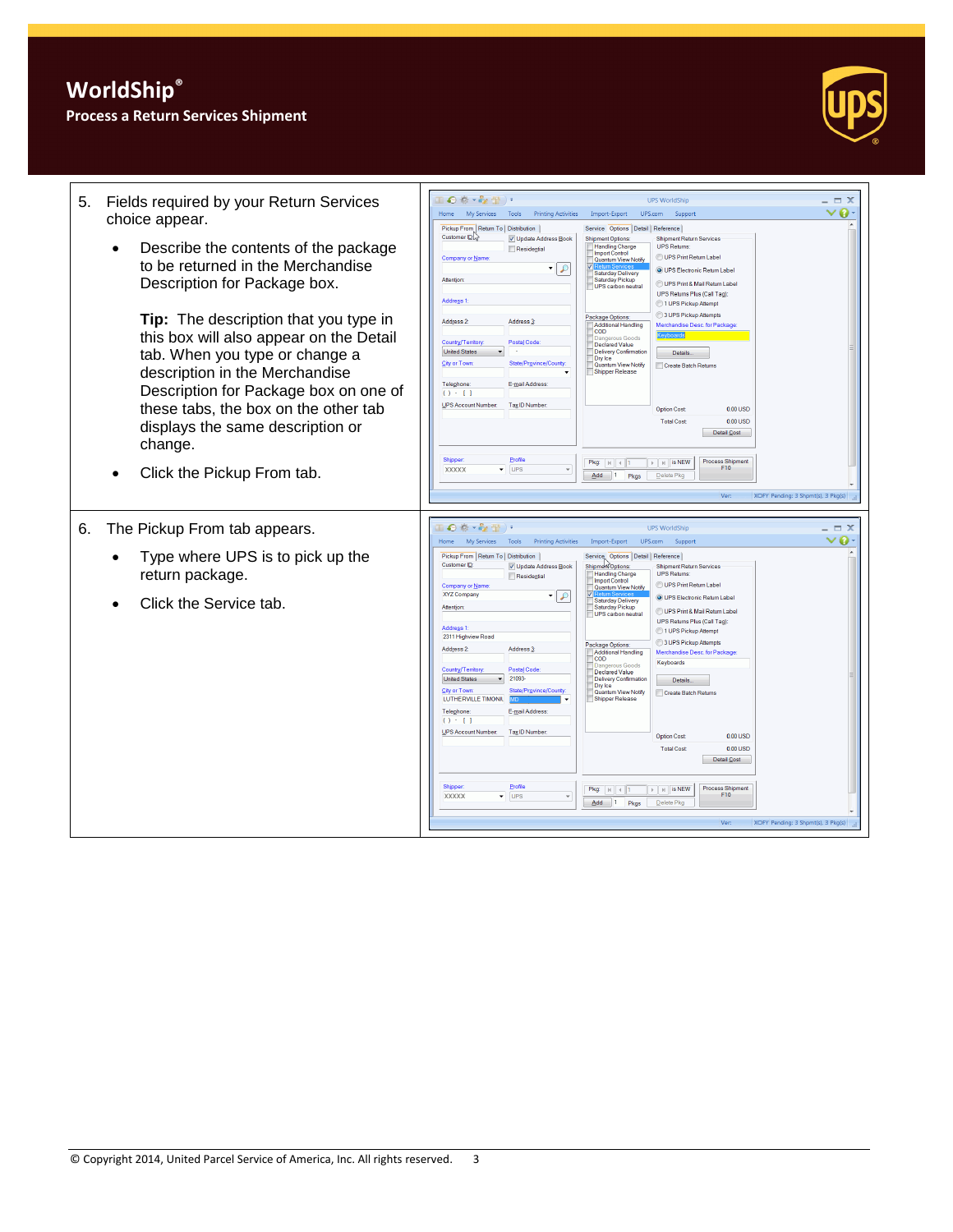## **Process a Return Services Shipment**



| Fields required by your Return Services<br>5.<br>choice appear.                                                                                                                                                                       | Ⅱ◎卷 → ☆ 冊)→<br>$\Box$ $X$<br><b>UPS WorldShip</b><br>◉<br>Home<br><b>My Services</b><br>Tools<br><b>Printing Activities</b><br>Import-Export<br>UPS.com<br>Support                                                                                                                                                                                                                                                                                                                                                                                                                                                                                                                                                                                                                                                                                                                                                                                                                                                                                                                          |
|---------------------------------------------------------------------------------------------------------------------------------------------------------------------------------------------------------------------------------------|---------------------------------------------------------------------------------------------------------------------------------------------------------------------------------------------------------------------------------------------------------------------------------------------------------------------------------------------------------------------------------------------------------------------------------------------------------------------------------------------------------------------------------------------------------------------------------------------------------------------------------------------------------------------------------------------------------------------------------------------------------------------------------------------------------------------------------------------------------------------------------------------------------------------------------------------------------------------------------------------------------------------------------------------------------------------------------------------|
| Describe the contents of the package<br>to be returned in the Merchandise<br>Description for Package box.                                                                                                                             | Pickup From Return To Distribution<br>Service Options Detail   Reference  <br>Customer ID<br>V Update Address Book<br><b>Shipment Options</b><br><b>Shipment Return Services</b><br><b>Handling Charge</b><br><b>UPS Returns:</b><br>Residential<br><b>Import Control</b><br>UPS Print Return Label<br>Company or Name<br>Quantum View Notify<br>O UPS Electronic Return Label<br><b>Saturday Delivery</b><br>Attention:<br>Saturday Pickup<br>UPS Print & Mail Return Label<br>UPS carbon neutral<br>UPS Returns Plus (Call Tag)<br>Address <sub>1</sub><br>1 UPS Pickup Attempt<br>3 UPS Pickup Attempts<br>Package Options:                                                                                                                                                                                                                                                                                                                                                                                                                                                              |
| Tip: The description that you type in<br>this box will also appear on the Detail<br>tab. When you type or change a<br>description in the Merchandise<br>Description for Package box on one of<br>these tabs, the box on the other tab | Address <sub>2</sub><br>Address <sub>3</sub><br>Additional Handling<br>Merchandise Desc. for Package<br><b>COD</b><br>ous Goods<br>Country/Territory:<br>Postal Code:<br>Declared Value<br><b>United States</b><br>Delivery Confirmation<br>Details.<br>Dry Ice<br>City or Town<br>State/Province/Count<br>Quantum View Notify<br>Create Batch Returns<br>Shipper Release<br>Telephone:<br>E-mail Address:<br>() : []<br><b>UPS Account Number</b><br>Tax ID Number<br>0.00 USD<br><b>Option Cost</b>                                                                                                                                                                                                                                                                                                                                                                                                                                                                                                                                                                                       |
| displays the same description or<br>change.                                                                                                                                                                                           | $0.00$ USD<br><b>Total Cost</b><br>Detail Cost                                                                                                                                                                                                                                                                                                                                                                                                                                                                                                                                                                                                                                                                                                                                                                                                                                                                                                                                                                                                                                              |
| Click the Pickup From tab.                                                                                                                                                                                                            | Profile<br>Shipper<br><b>Process Shipment</b><br>Pkg: $ k $ $ $ $ $ 1<br>$\triangleright$   $\triangleright$   is NEW<br>$\overline{\phantom{a}}$ UPS<br>F <sub>10</sub><br><b>XXXXX</b><br>$Add$ 1<br>Pkgs<br>Delete Pkg<br>Ver:<br>XOFY Pending: 3 Shpmt(s), 3 Pkg(s)                                                                                                                                                                                                                                                                                                                                                                                                                                                                                                                                                                                                                                                                                                                                                                                                                     |
|                                                                                                                                                                                                                                       |                                                                                                                                                                                                                                                                                                                                                                                                                                                                                                                                                                                                                                                                                                                                                                                                                                                                                                                                                                                                                                                                                             |
| The Pickup From tab appears.<br>6.                                                                                                                                                                                                    | $\mathbb{L} \otimes \mathbb{R} \cdot \mathbb{Z} \oplus \mathbb{L}$<br><b>UPS WorldShip</b><br>$\Box$ $\times$<br>ø<br>My Services Tools<br>Printing Activities<br>UPS.com<br><b>Home</b><br>Import-Export<br>Support                                                                                                                                                                                                                                                                                                                                                                                                                                                                                                                                                                                                                                                                                                                                                                                                                                                                        |
| Type where UPS is to pick up the<br>return package.                                                                                                                                                                                   | Pickup From Return To Distribution<br>Service Options Detail Reference<br>Customer ID<br>V Update Address Book<br>Shipment Options<br><b>Shipment Return Services</b><br>Handling Charge<br><b>UPS Returns</b><br>Residential<br>Import Control<br>UPS Print Return Label<br>Company or Name<br>Quantum View Notify                                                                                                                                                                                                                                                                                                                                                                                                                                                                                                                                                                                                                                                                                                                                                                         |
| Click the Service tab.                                                                                                                                                                                                                | XYZ Company<br>$\mathcal{L}$<br>O UPS Electronic Return Label<br><b>Saturday Delivery</b><br><b>Attention</b><br>Saturday Pickup<br>UPS Print & Mail Return Label<br>UPS carbon neutral<br>UPS Returns Plus (Call Tag)<br><b>Address 1</b><br>1 UPS Pickup Attempt<br>2311 Highview Road<br>3 UPS Pickup Attempts<br>Package Options:<br>Address 2:<br>Address <sub>3</sub><br>Additional Handling<br>Merchandise Desc. for Package<br><b>COD</b><br>Keyboards<br><b>Jangerous Goods</b><br><b>Postal Code</b><br>Country/Territory:<br>Declared Value<br>21093-<br><b>United States</b><br>Delivery Confirmation<br>Details.<br>Dry Ice<br>State/Province/Count<br><b>City or Town</b><br>Quantum View Notify<br>Create Batch Returns<br>LUTHERVILLE TIMONIL<br>Shipper Release<br>E-mail Address:<br>Telephone<br>$() - []$<br>UPS Account Number<br>Tax ID Number<br><b>Option Cost</b><br>0.00 USD<br>$0.00$ USD<br><b>Total Cost</b><br>Detail Cost<br>Shippe<br>Profile<br><b>Process Shipment</b><br>$\mathbb{F}$   $\mathbb{H}$   is NEW<br>Pkg: $\vert \mu \vert \vert$ + 1<br>F10 |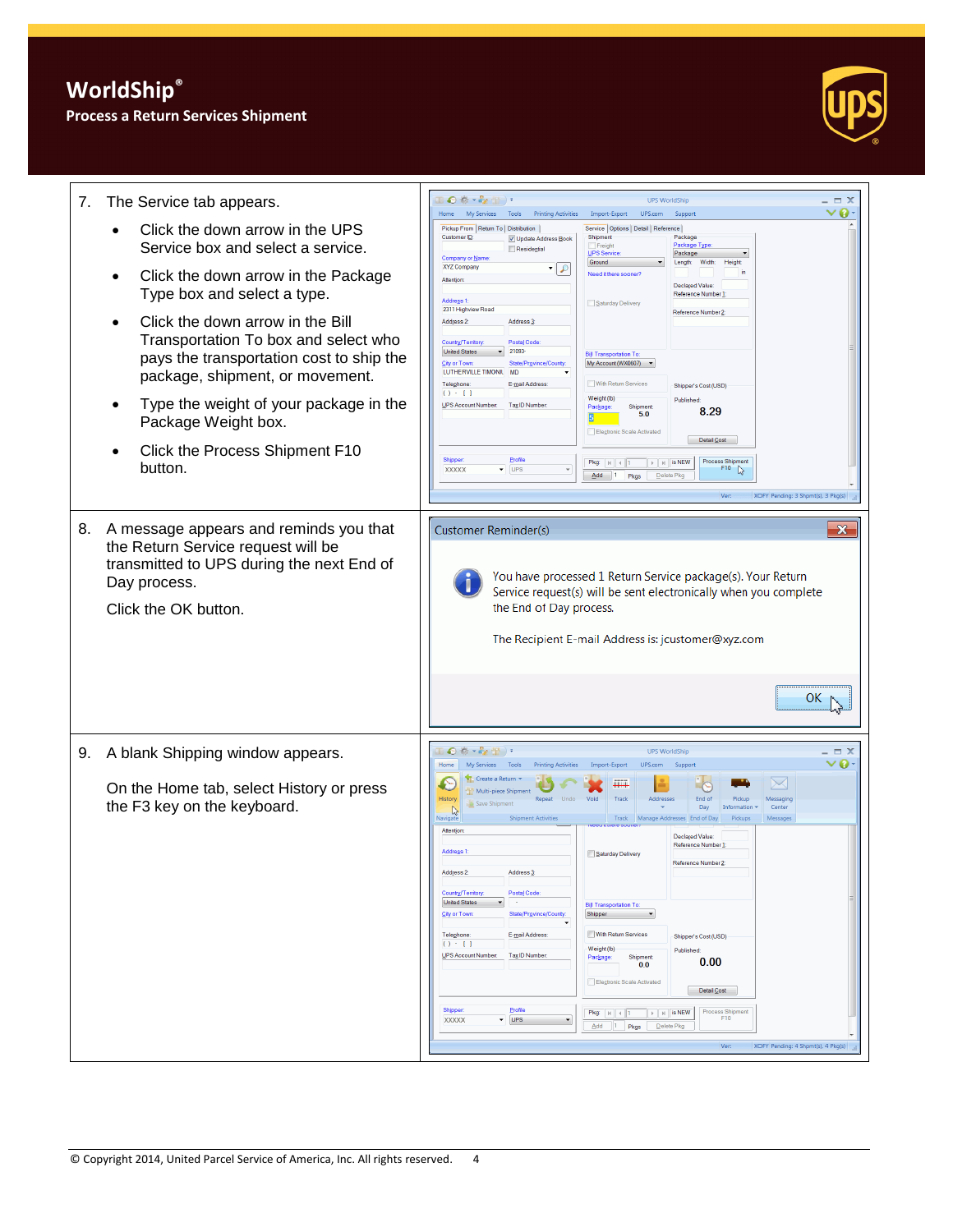### **Process a Return Services Shipment**



| 7. | The Service tab appears.                                                                                                                                          | ●春・み借り<br><b>UPS WorldShip</b><br>$\Box$ $\times$                                                                                                                                                                                                                                                                                                                                                                                                                                                                                                                                                                                                                                                                                                                                                                                                                                                                                                                                                                                                                                                                                                                                                                                                                                                                                     |
|----|-------------------------------------------------------------------------------------------------------------------------------------------------------------------|---------------------------------------------------------------------------------------------------------------------------------------------------------------------------------------------------------------------------------------------------------------------------------------------------------------------------------------------------------------------------------------------------------------------------------------------------------------------------------------------------------------------------------------------------------------------------------------------------------------------------------------------------------------------------------------------------------------------------------------------------------------------------------------------------------------------------------------------------------------------------------------------------------------------------------------------------------------------------------------------------------------------------------------------------------------------------------------------------------------------------------------------------------------------------------------------------------------------------------------------------------------------------------------------------------------------------------------|
|    | Click the down arrow in the UPS<br>Service box and select a service.                                                                                              | ø<br>My Services<br>Tools<br><b>Printing Activities</b><br>Import-Export<br>UPS.com<br>Home<br>Support<br>Pickup From   Return To   Distribution  <br>Service   Options   Detail   Reference  <br>Customer ID<br>Shipment<br>Package<br>V Update Address Book<br>Package Typ<br>Freight<br>Residential<br>UPS Service<br>Package<br>Company or Name                                                                                                                                                                                                                                                                                                                                                                                                                                                                                                                                                                                                                                                                                                                                                                                                                                                                                                                                                                                   |
|    | Click the down arrow in the Package<br>Type box and select a type.                                                                                                | Ground<br>Width:<br>Length:<br>Height<br><b>XYZ Company</b><br>9   •<br>Need it there sooner'<br><b>Attention</b><br><b>Declared Value</b><br>Reference Number<br><b>Address 1</b><br>Saturday Delivery                                                                                                                                                                                                                                                                                                                                                                                                                                                                                                                                                                                                                                                                                                                                                                                                                                                                                                                                                                                                                                                                                                                               |
|    | Click the down arrow in the Bill<br>Transportation To box and select who<br>pays the transportation cost to ship the<br>package, shipment, or movement.           | 2311 Highview Road<br>Reference Number 2<br>Address 2:<br>Address <sub>3</sub><br>Postal Code<br>Country/Territory<br><b>United States</b><br>21093<br><b>Bill Transportation To:</b><br><b>City or Town</b><br>State/Province/County<br>My Account (WX0607)<br>LUTHERVILLE TIMONIL<br><b>MD</b><br>With Return Services<br>Telephone<br>E-mail Address:<br>Shipper's Cost (USD)                                                                                                                                                                                                                                                                                                                                                                                                                                                                                                                                                                                                                                                                                                                                                                                                                                                                                                                                                      |
|    | Type the weight of your package in the<br>Package Weight box.                                                                                                     | () : []<br>Weight (lb)<br>Published<br>UPS Account Number:<br>Tax ID Number:<br>Shipment<br>Package<br>8.29<br>5.0<br>Electronic Scale Activated                                                                                                                                                                                                                                                                                                                                                                                                                                                                                                                                                                                                                                                                                                                                                                                                                                                                                                                                                                                                                                                                                                                                                                                      |
|    | Click the Process Shipment F10<br>button.                                                                                                                         | Detail Cost<br>Profile<br>Shippe<br><b>Process Shipment</b><br>Pkg: $\vert \vert \vert \vert \vert \vert \vert$ 1<br>$\triangleright$   $\triangleright$   is NEW<br>UPS<br>F <sub>10</sub><br>XXXXX<br>D.<br>$Add \t 1$<br>Pkgs<br>Delete Pkg<br>XOFY Pending: 3 Shpmt(s), 3 Pkg(s)<br>Ver:                                                                                                                                                                                                                                                                                                                                                                                                                                                                                                                                                                                                                                                                                                                                                                                                                                                                                                                                                                                                                                          |
| 8. | A message appears and reminds you that<br>the Return Service request will be<br>transmitted to UPS during the next End of<br>Day process.<br>Click the OK button. | $\mathbf{x}$<br><b>Customer Reminder(s)</b><br>You have processed 1 Return Service package(s). Your Return<br>Service request(s) will be sent electronically when you complete<br>the End of Day process.<br>The Recipient E-mail Address is: jcustomer@xyz.com<br>ОΚ                                                                                                                                                                                                                                                                                                                                                                                                                                                                                                                                                                                                                                                                                                                                                                                                                                                                                                                                                                                                                                                                 |
| 9. | A blank Shipping window appears.<br>On the Home tab, select History or press<br>the F3 key on the keyboard.                                                       | ●春×乾雪)・<br><b>UPS WorldShip</b><br>$\equiv$ $\times$<br>My Services<br>Tools<br><b>Printing Activities</b><br>Import-Export<br>UPS.com<br>Home<br>Support<br>Create a Return<br>$\searrow$<br>m<br>Multi-piece Shipment<br>History<br>End of<br>Repeat Undo<br>Void<br>Track<br>Addresse<br>Pickup<br>Messagin<br>Save Shipment<br>Day<br>Center<br>Information<br>$\mathbb{R}$<br>Messages<br>Navigate<br><b>Shipment Activities</b><br>Track<br>Manage Addresses End of Day<br>Pickups<br>Attention<br><b>Declared Value</b><br>Reference Number 1<br>Address <sup>1</sup><br>Saturday Delivery<br>Reference Number 2<br>Address 2:<br>Address <sub>3</sub><br>Country/Territory:<br>Postal Code:<br><b>United States</b><br>$\sim$<br><b>Bill Transportation To:</b><br>State/Province/County:<br>City or Town:<br>Shipper<br>Telephone:<br>E-mail Address:<br>With Return Services<br>Shipper's Cost (USD)<br>() : []<br>Weight (lb)<br>Published:<br>UPS Account Number:<br>Tax ID Number:<br>Shipment<br>Package:<br>0.00<br>0.0<br>Electronic Scale Activated<br>Detail Cost<br>Profile<br><b>Shipper:</b><br><b>Process Shipment</b><br>$\rightarrow$ $\parallel$ $\parallel$ is NEW<br>Pkg: $ k $ $  1$<br>F10<br><b>UPS</b><br><b>XXXXX</b><br>▼.<br>Add 1 Pkgs<br>Delete Pkg<br>XOFY Pending: 4 Shpmt(s), 4 Pkg(s)<br>Ver: |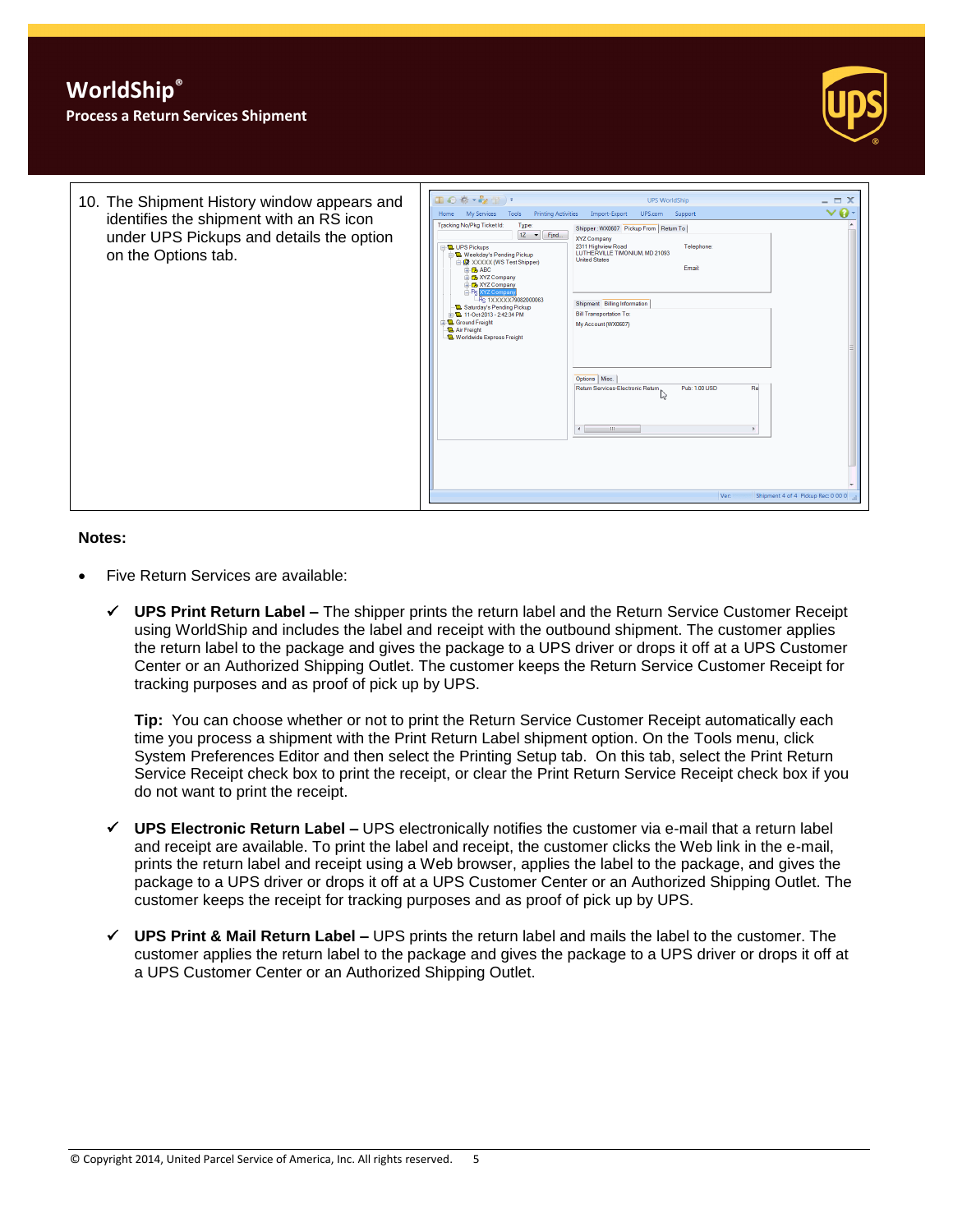



#### **Notes:**

- Five Return Services are available:
	- **UPS Print Return Label –** The shipper prints the return label and the Return Service Customer Receipt using WorldShip and includes the label and receipt with the outbound shipment. The customer applies the return label to the package and gives the package to a UPS driver or drops it off at a UPS Customer Center or an Authorized Shipping Outlet. The customer keeps the Return Service Customer Receipt for tracking purposes and as proof of pick up by UPS.

**Tip:** You can choose whether or not to print the Return Service Customer Receipt automatically each time you process a shipment with the Print Return Label shipment option. On the Tools menu, click System Preferences Editor and then select the Printing Setup tab. On this tab, select the Print Return Service Receipt check box to print the receipt, or clear the Print Return Service Receipt check box if you do not want to print the receipt.

- **UPS Electronic Return Label –** UPS electronically notifies the customer via e-mail that a return label and receipt are available. To print the label and receipt, the customer clicks the Web link in the e-mail, prints the return label and receipt using a Web browser, applies the label to the package, and gives the package to a UPS driver or drops it off at a UPS Customer Center or an Authorized Shipping Outlet. The customer keeps the receipt for tracking purposes and as proof of pick up by UPS.
- **UPS Print & Mail Return Label –** UPS prints the return label and mails the label to the customer. The customer applies the return label to the package and gives the package to a UPS driver or drops it off at a UPS Customer Center or an Authorized Shipping Outlet.